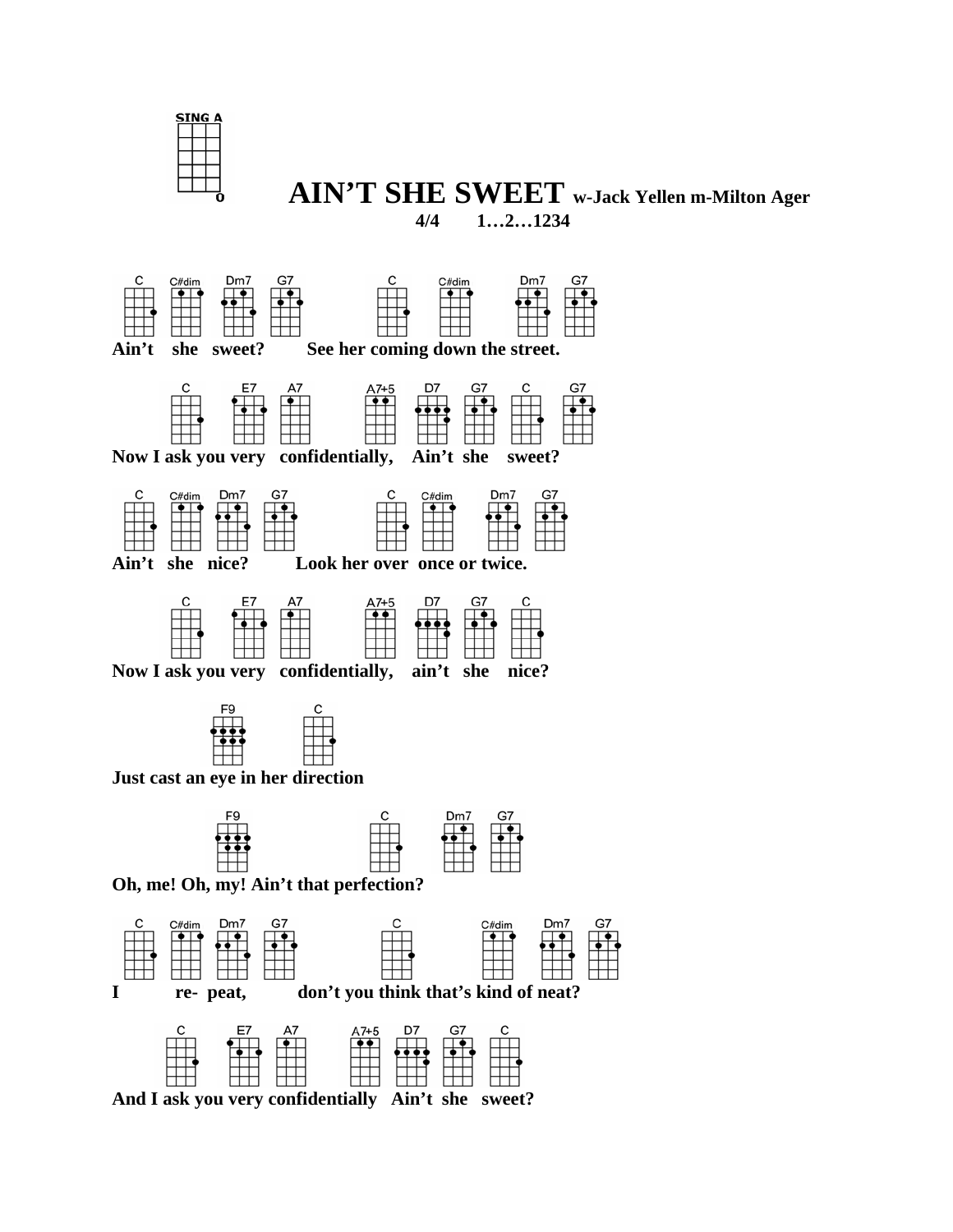

## **AIN'T SHE SWEET w-Jack Yellen m-Milton Ager 4/4 1…2…1234**